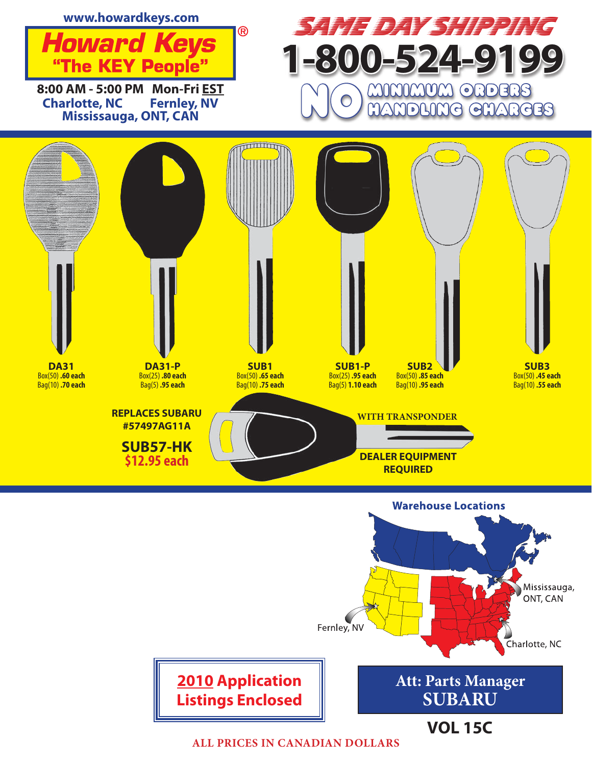